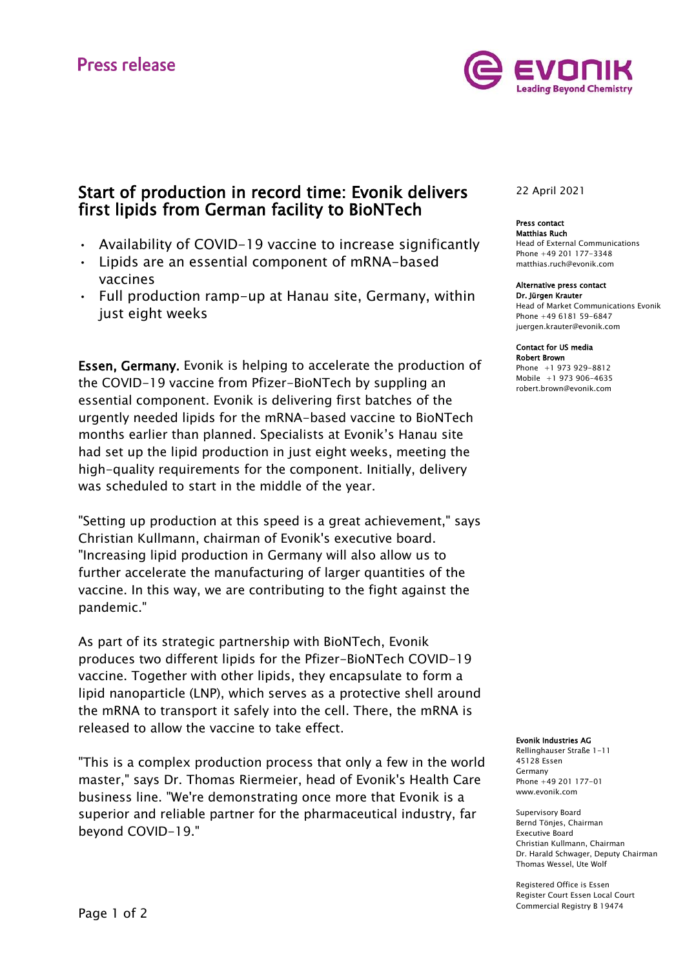

## Start of production in record time: Evonik delivers first lipids from German facility to BioNTech

- Availability of COVID-19 vaccine to increase significantly
- Lipids are an essential component of mRNA-based vaccines
- Full production ramp-up at Hanau site, Germany, within just eight weeks

Essen, Germany. Evonik is helping to accelerate the production of the COVID-19 vaccine from Pfizer-BioNTech by suppling an essential component. Evonik is delivering first batches of the urgently needed lipids for the mRNA-based vaccine to BioNTech months earlier than planned. Specialists at Evonik's Hanau site had set up the lipid production in just eight weeks, meeting the high-quality requirements for the component. Initially, delivery was scheduled to start in the middle of the year.

"Setting up production at this speed is a great achievement," says Christian Kullmann, chairman of Evonik's executive board. "Increasing lipid production in Germany will also allow us to further accelerate the manufacturing of larger quantities of the vaccine. In this way, we are contributing to the fight against the pandemic."

As part of its strategic partnership with BioNTech, Evonik produces two different lipids for the Pfizer-BioNTech COVID-19 vaccine. Together with other lipids, they encapsulate to form a lipid nanoparticle (LNP), which serves as a protective shell around the mRNA to transport it safely into the cell. There, the mRNA is released to allow the vaccine to take effect.

"This is a complex production process that only a few in the world master," says Dr. Thomas Riermeier, head of Evonik's Health Care business line. "We're demonstrating once more that Evonik is a superior and reliable partner for the pharmaceutical industry, far beyond COVID-19."

### 22 April 2021

#### Press contact Matthias Ruch

Head of External Communications Phone +49 201 177-3348 matthias.ruch@evonik.com

#### Alternative press contact

Dr. Jürgen Krauter Head of Market Communications Evonik Phone +49 6181 59-6847 [juergen.krauter@evonik.com](mailto:juergen.krauter@evonik.com)

#### Contact for US media

Robert Brown Phone +1 973 929-8812 Mobile +1 973 906-4635 [robert.brown@evonik.com](mailto:robert.brown@evonik.com)

### Evonik Industries AG

Rellinghauser Straße 1-11 45128 Essen Germany Phone +49 201 177-01 www.evonik.com

Supervisory Board Bernd Tönjes, Chairman Executive Board Christian Kullmann, Chairman Dr. Harald Schwager, Deputy Chairman Thomas Wessel, Ute Wolf

Registered Office is Essen Register Court Essen Local Court Commercial Registry B 19474